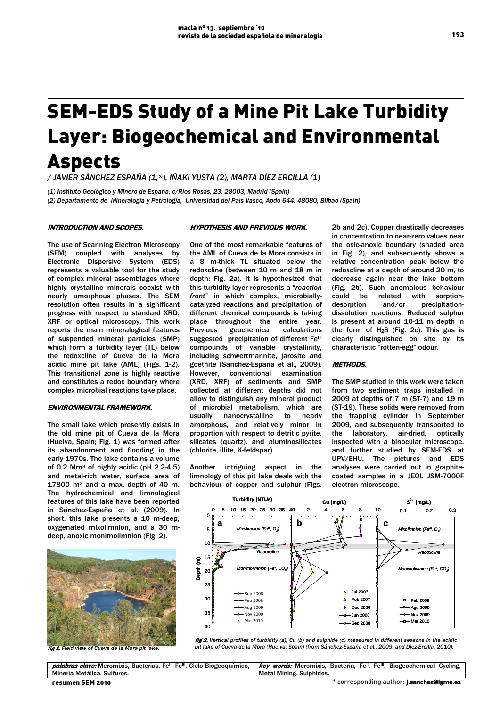# SEM-EDS Study of a Mine Pit Lake Turbidity Layer: Biogeochemical and Environmental Aspects

*/ JAVIER SÁNCHEZ ESPAÑA (1,\*), IÑAKI YUSTA (2), MARTA DÍEZ ERCILLA (1)*

*(1) Instituto Geológico y Minero de España, c/Ríos Rosas, 23. 28003, Madrid (Spain) (2) Departamento de Mineralogía y Petrología, Universidad del País Vasco, Apdo 644. 48080, Bilbao (Spain)*

## INTRODUCTION AND SCOPES.

The use of Scanning Electron Microscopy (SEM) coupled with analyses by Electronic Dispersive System (EDS) represents a valuable tool for the study of complex mineral assemblages where highly crystalline minerals coexist with nearly amorphous phases. The SEM resolution often results in a significant progress with respect to standard XRD, XRF or optical microscopy. This work reports the main mineralogical features of suspended mineral particles (SMP) which form a turbidity layer (TL) below the redoxcline of Cueva de la Mora acidic mine pit lake (AML) (Figs. 1-2). This transitional zone is highly reactive and constitutes a redox boundary where complex microbial reactions take place.

## ENVIRONMENTAL FRAMEWORK.

The small lake which presently exists in the old mine pit of Cueva de la Mora (Huelva, Spain; Fig. 1) was formed after its abandonment and flooding in the early 1970s. The lake contains a volume of 0.2 Mm3 of highly acidic (pH 2.2-4.5) and metal-rich water, surface area of  $17800$  m<sup>2</sup> and a max. depth of 40 m. The hydrochemical and limnological features of this lake have been reported in Sánchez-España et al. (2009). In short, this lake presents a 10 m-deep, oxygenated mixolimnion, and a 30 mdeep, anoxic monimolimnion (Fig. 2).



fig 1. *Field view of Cueva de la Mora pit lake.*

## HYPOTHESIS AND PREVIOUS WORK.

One of the most remarkable features of the AML of Cueva de la Mora consists in a 8 m-thick TL situated below the redoxcline (between 10 m and 18 m in depth; Fig. 2a). It is hypothesized that this turbidity layer represents a "*reaction front*" in which complex, microbiallycatalyzed reactions and precipitation of different chemical compounds is taking place throughout the entire year. Previous geochemical calculations suggested precipitation of different FeIII compounds of variable crystallinity, including schwertmannite, jarosite and goethite (Sánchez-España et al., 2009). conventional examination (XRD, XRF) of sediments and SMP collected at different depths did not allow to distinguish any mineral product of microbial metabolism, which are usually nanocrystalline to nearly amorphous, and relatively minor in proportion with respect to detritic pyrite, silicates (quartz), and aluminosilicates (chlorite, illite, K-feldspar).

Another intriguing aspect in the limnology of this pit lake deals with the behaviour of copper and sulphur (Figs. 2b and 2c). Copper drastically decreases in concentration to near-zero values near the oxic-anoxic boundary (shaded area in Fig. 2), and subsequently shows a relative concentration peak below the redoxcline at a depth of around 20 m, to decrease again near the lake bottom (Fig. 2b). Such anomalous behaviour could be related with sorptiondesorption and/or precipitationdissolution reactions. Reduced sulphur is present at around 10-11 m depth in the form of H2S (Fig. 2c). This gas is clearly distinguished on site by its characteristic "rotten-egg" odour.

## METHODS.

The SMP studied in this work were taken from two sediment traps installed in 2009 at depths of 7 m (ST-7) and 19 m (ST-19). These solids were removed from the trapping cylinder in September 2009, and subsequently transported to the laboratory, air-dried, optically inspected with a binocular microscope, and further studied by SEM-EDS at UPV/EHU. The pictures and EDS analyses were carried out in graphitecoated samples in a JEOL JSM-7000F electron microscope.





palabras clave: Meromixis, Bacterias, Fe<sup>II</sup>, Fe<sup>III</sup>, Ciclo Biogeoquímico, Minería Metálica, Sulfuros. key words: Meromixis, Bacteria, Fe<sup>II</sup>, Fe<sup>III</sup>, Biogeochemical Cycling, Metal Mining, Sulphides.

193